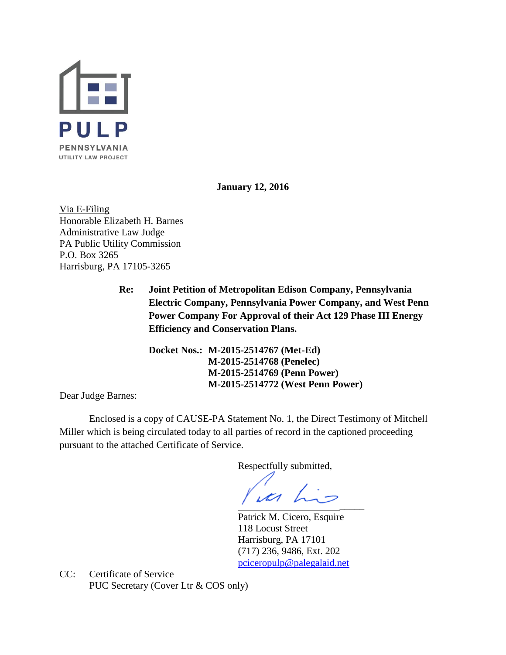

**January 12, 2016**

Via E-Filing Honorable Elizabeth H. Barnes Administrative Law Judge PA Public Utility Commission P.O. Box 3265 Harrisburg, PA 17105-3265

> **Re: Joint Petition of Metropolitan Edison Company, Pennsylvania Electric Company, Pennsylvania Power Company, and West Penn Power Company For Approval of their Act 129 Phase III Energy Efficiency and Conservation Plans.**

**Docket Nos.: M-2015-2514767 (Met-Ed) M-2015-2514768 (Penelec) M-2015-2514769 (Penn Power) M-2015-2514772 (West Penn Power)**

Dear Judge Barnes:

Enclosed is a copy of CAUSE-PA Statement No. 1, the Direct Testimony of Mitchell Miller which is being circulated today to all parties of record in the captioned proceeding pursuant to the attached Certificate of Service.

Respectfully submitted,

ua his  $\overline{\phantom{a}}$ 

Patrick M. Cicero, Esquire 118 Locust Street Harrisburg, PA 17101 (717) 236, 9486, Ext. 202 [pciceropulp@palegalaid.net](mailto:pciceropulp@palegalaid.net)

CC: Certificate of Service PUC Secretary (Cover Ltr & COS only)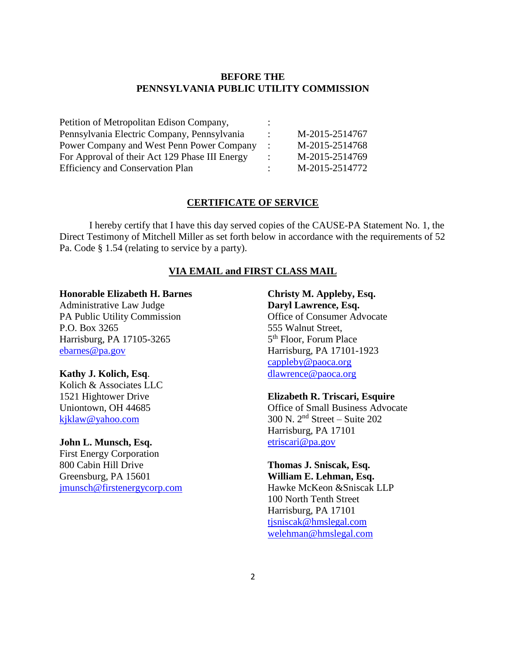# **BEFORE THE PENNSYLVANIA PUBLIC UTILITY COMMISSION**

| Petition of Metropolitan Edison Company,       |                |
|------------------------------------------------|----------------|
| Pennsylvania Electric Company, Pennsylvania    | M-2015-2514767 |
| Power Company and West Penn Power Company      | M-2015-2514768 |
| For Approval of their Act 129 Phase III Energy | M-2015-2514769 |
| <b>Efficiency and Conservation Plan</b>        | M-2015-2514772 |

## **CERTIFICATE OF SERVICE**

I hereby certify that I have this day served copies of the CAUSE-PA Statement No. 1, the Direct Testimony of Mitchell Miller as set forth below in accordance with the requirements of 52 Pa. Code § 1.54 (relating to service by a party).

### **VIA EMAIL and FIRST CLASS MAIL**

#### **Honorable Elizabeth H. Barnes**

Administrative Law Judge PA Public Utility Commission P.O. Box 3265 Harrisburg, PA 17105-3265 [ebarnes@pa.gov](mailto:ebarnes@pa.gov)

#### **Kathy J. Kolich, Esq**.

Kolich & Associates LLC 1521 Hightower Drive Uniontown, OH 44685 [kjklaw@yahoo.com](mailto:kjklaw@yahoo.com)

## **John L. Munsch, Esq.**

First Energy Corporation 800 Cabin Hill Drive Greensburg, PA 15601 [jmunsch@firstenergycorp.com](mailto:jmunsch@firstenergycorp.com)

**Christy M. Appleby, Esq. Daryl Lawrence, Esq.** Office of Consumer Advocate 555 Walnut Street, 5<sup>th</sup> Floor, Forum Place Harrisburg, PA 17101-1923 [cappleby@paoca.org](mailto:cappleby@paoca.org) [dlawrence@paoca.org](mailto:dlawrence@paoca.org)

**Elizabeth R. Triscari, Esquire** Office of Small Business Advocate 300 N. 2nd Street – Suite 202 Harrisburg, PA 17101 [etriscari@pa.gov](mailto:etriscari@pa.gov)

## **Thomas J. Sniscak, Esq. William E. Lehman, Esq.**

Hawke McKeon &Sniscak LLP 100 North Tenth Street Harrisburg, PA 17101 [tjsniscak@hmslegal.com](mailto:tjsniscak@hmslegal.com) [welehman@hmslegal.com](mailto:welehman@hmslegal.com)